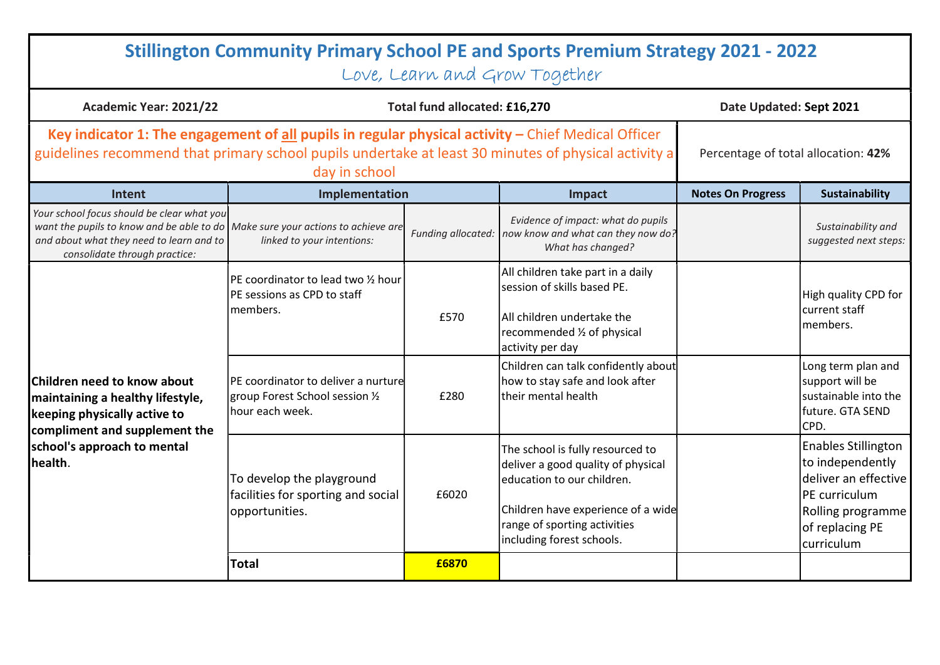| <b>Stillington Community Primary School PE and Sports Premium Strategy 2021 - 2022</b><br>Love, Learn and Grow Together                                                                                                       |                                                                                                   |       |                                                                                                                                                                                                         |                          |                                                                                                                                               |  |
|-------------------------------------------------------------------------------------------------------------------------------------------------------------------------------------------------------------------------------|---------------------------------------------------------------------------------------------------|-------|---------------------------------------------------------------------------------------------------------------------------------------------------------------------------------------------------------|--------------------------|-----------------------------------------------------------------------------------------------------------------------------------------------|--|
| Academic Year: 2021/22                                                                                                                                                                                                        | Total fund allocated: £16,270                                                                     |       |                                                                                                                                                                                                         | Date Updated: Sept 2021  |                                                                                                                                               |  |
| Key indicator 1: The engagement of all pupils in regular physical activity $-$ Chief Medical Officer<br>guidelines recommend that primary school pupils undertake at least 30 minutes of physical activity a<br>day in school |                                                                                                   |       |                                                                                                                                                                                                         |                          | Percentage of total allocation: 42%                                                                                                           |  |
| <b>Intent</b>                                                                                                                                                                                                                 | Implementation                                                                                    |       | Impact                                                                                                                                                                                                  | <b>Notes On Progress</b> | Sustainability                                                                                                                                |  |
| Your school focus should be clear what you<br>want the pupils to know and be able to do Make sure your actions to achieve are<br>and about what they need to learn and to<br>consolidate through practice:                    | linked to your intentions:                                                                        |       | Evidence of impact: what do pupils<br>Funding allocated: now know and what can they now do?<br>What has changed?                                                                                        |                          | Sustainability and<br>suggested next steps:                                                                                                   |  |
| Children need to know about<br>maintaining a healthy lifestyle,<br>keeping physically active to<br>compliment and supplement the<br>school's approach to mental<br>health.                                                    | PE coordinator to lead two 1/2 hour<br>PE sessions as CPD to staff<br>members.                    | £570  | All children take part in a daily<br>session of skills based PE.<br>All children undertake the<br>recommended 1/2 of physical<br>activity per day                                                       |                          | High quality CPD for<br>lcurrent staff<br>lmembers.                                                                                           |  |
|                                                                                                                                                                                                                               | <b>PE</b> coordinator to deliver a nurture<br>group Forest School session 1/2<br>lhour each week. | £280  | Children can talk confidently about<br>how to stay safe and look after<br>ltheir mental health                                                                                                          |                          | Long term plan and<br>support will be<br>sustainable into the<br>lfuture. GTA SEND<br>CPD.                                                    |  |
|                                                                                                                                                                                                                               | To develop the playground<br>facilities for sporting and social<br>opportunities.                 | £6020 | The school is fully resourced to<br>deliver a good quality of physical<br>education to our children.<br>Children have experience of a wide<br>range of sporting activities<br>including forest schools. |                          | <b>Enables Stillington</b><br>to independently<br>deliver an effective<br>PE curriculum<br>Rolling programme<br>of replacing PE<br>curriculum |  |
|                                                                                                                                                                                                                               | <b>Total</b>                                                                                      | £6870 |                                                                                                                                                                                                         |                          |                                                                                                                                               |  |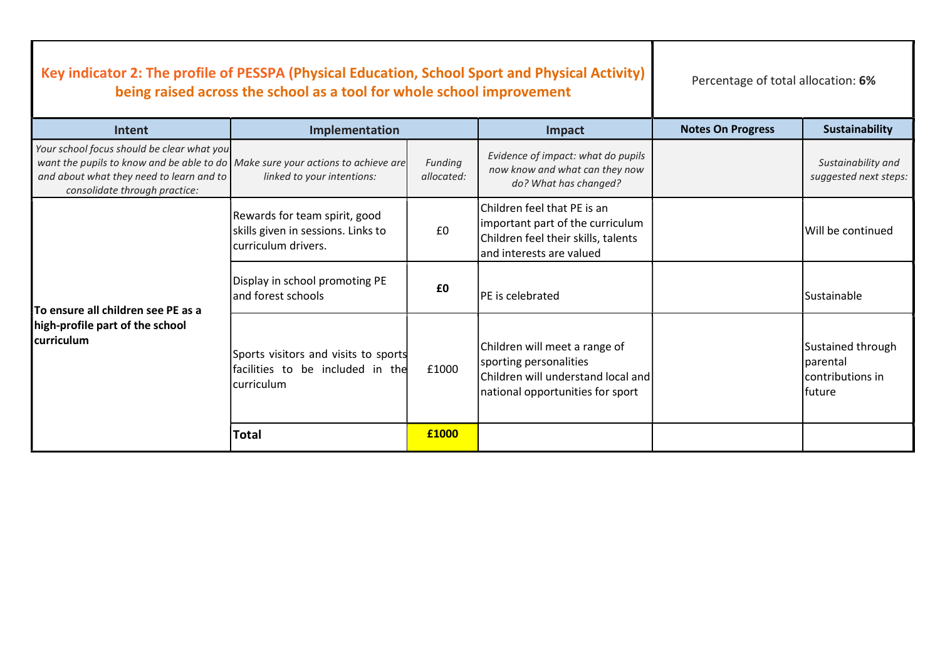| Key indicator 2: The profile of PESSPA (Physical Education, School Sport and Physical Activity)<br>being raised across the school as a tool for whole school improvement                                   |                                                                                            |                       | Percentage of total allocation: 6%                                                                                                  |                          |                                                                |
|------------------------------------------------------------------------------------------------------------------------------------------------------------------------------------------------------------|--------------------------------------------------------------------------------------------|-----------------------|-------------------------------------------------------------------------------------------------------------------------------------|--------------------------|----------------------------------------------------------------|
| Intent                                                                                                                                                                                                     | Implementation                                                                             |                       | Impact                                                                                                                              | <b>Notes On Progress</b> | <b>Sustainability</b>                                          |
| Your school focus should be clear what you<br>want the pupils to know and be able to do Make sure your actions to achieve are<br>and about what they need to learn and to<br>consolidate through practice: | linked to your intentions:                                                                 | Funding<br>allocated: | Evidence of impact: what do pupils<br>now know and what can they now<br>do? What has changed?                                       |                          | Sustainability and<br>suggested next steps:                    |
| To ensure all children see PE as a<br>high-profile part of the school<br><b>curriculum</b>                                                                                                                 | Rewards for team spirit, good<br>skills given in sessions. Links to<br>curriculum drivers. | £0                    | lChildren feel that PE is an<br>important part of the curriculum<br>Children feel their skills, talents<br>and interests are valued |                          | Will be continued                                              |
|                                                                                                                                                                                                            | Display in school promoting PE<br>and forest schools                                       | £0                    | <b>PE</b> is celebrated                                                                                                             |                          | Sustainable                                                    |
|                                                                                                                                                                                                            | Sports visitors and visits to sports<br>facilities to be included in the<br>curriculum     | £1000                 | Children will meet a range of<br>sporting personalities<br>Children will understand local and<br>national opportunities for sport   |                          | Sustained through<br>Iparental<br>lcontributions in<br>lfuture |
|                                                                                                                                                                                                            | <b>Total</b>                                                                               | £1000                 |                                                                                                                                     |                          |                                                                |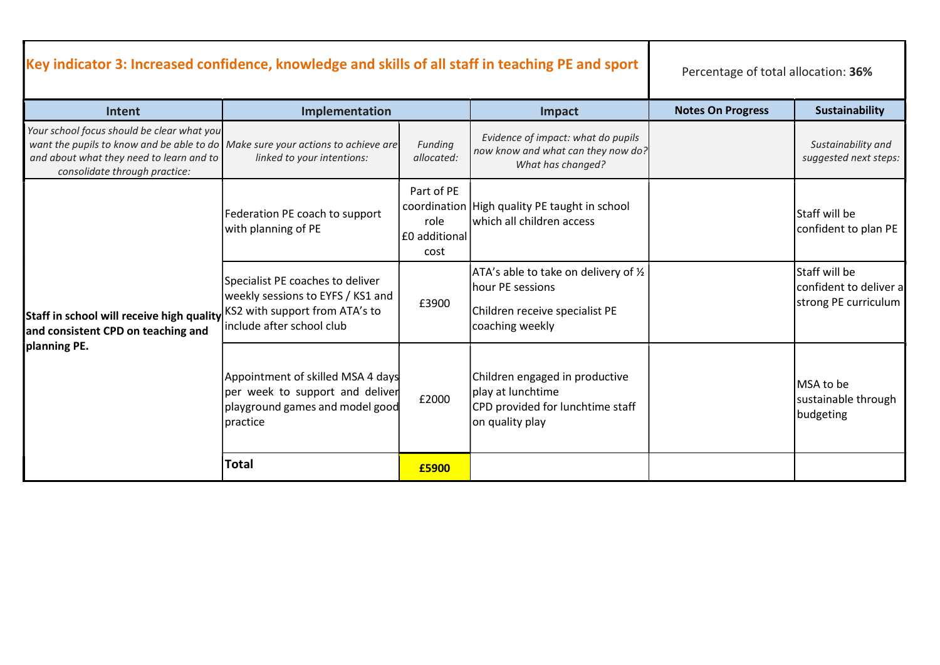| Key indicator 3: Increased confidence, knowledge and skills of all staff in teaching PE and sport                                                                                                          | Percentage of total allocation: 36%                                                                                 |                                               |                                                                                                                |                          |                                                                        |
|------------------------------------------------------------------------------------------------------------------------------------------------------------------------------------------------------------|---------------------------------------------------------------------------------------------------------------------|-----------------------------------------------|----------------------------------------------------------------------------------------------------------------|--------------------------|------------------------------------------------------------------------|
| Intent                                                                                                                                                                                                     | Implementation                                                                                                      |                                               | Impact                                                                                                         | <b>Notes On Progress</b> | <b>Sustainability</b>                                                  |
| Your school focus should be clear what you<br>want the pupils to know and be able to do Make sure your actions to achieve are<br>and about what they need to learn and to<br>consolidate through practice: | linked to your intentions:                                                                                          | Funding<br>allocated:                         | Evidence of impact: what do pupils<br>now know and what can they now do?<br>What has changed?                  |                          | Sustainability and<br>suggested next steps:                            |
| <b>Staff in school will receive high quality</b> KS2 with support from ATA's to<br>and consistent CPD on teaching and<br>planning PE.                                                                      | Federation PE coach to support<br>with planning of PE                                                               | Part of PE<br>role<br> £0 additional <br>cost | coordination   High quality PE taught in school<br>which all children access                                   |                          | lStaff will be<br>confident to plan PE                                 |
|                                                                                                                                                                                                            | Specialist PE coaches to deliver<br>weekly sessions to EYFS / KS1 and<br>include after school club                  | £3900                                         | ATA's able to take on delivery of 1/2<br>hour PE sessions<br>Children receive specialist PE<br>coaching weekly |                          | <b>Staff will be</b><br>confident to deliver a<br>strong PE curriculum |
|                                                                                                                                                                                                            | Appointment of skilled MSA 4 days<br>per week to support and deliver<br>playground games and model good<br>practice | £2000                                         | Children engaged in productive<br>play at lunchtime<br>CPD provided for lunchtime staff<br>on quality play     |                          | MSA to be<br>sustainable through<br>budgeting                          |
|                                                                                                                                                                                                            | <b>Total</b>                                                                                                        | £5900                                         |                                                                                                                |                          |                                                                        |

- 1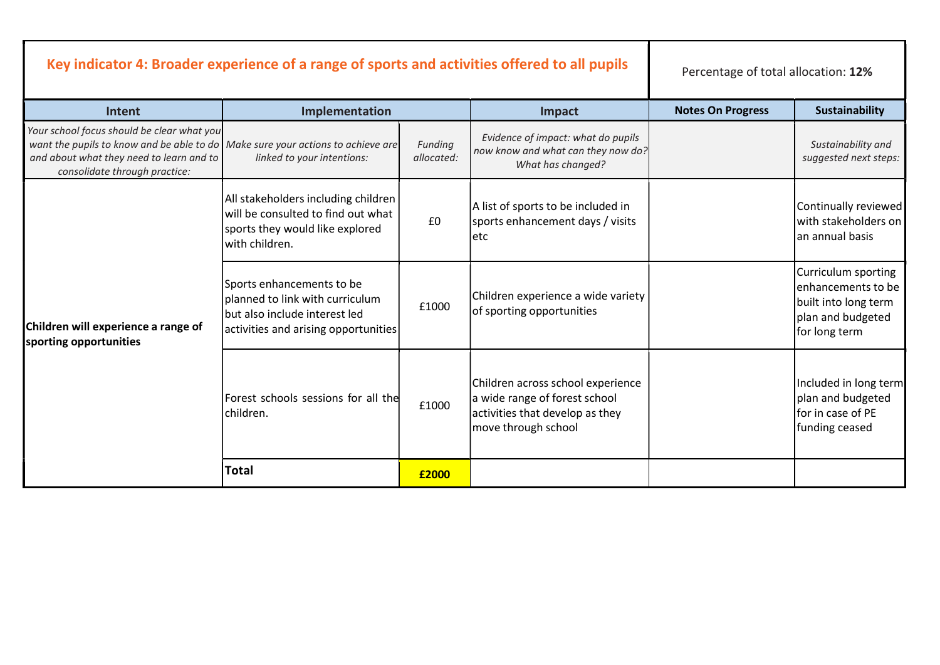| Key indicator 4: Broader experience of a range of sports and activities offered to all pupils                                                                                                              |                                                                                                                                       |                       |                                                                                                                              | Percentage of total allocation: 12% |                                                                                                         |
|------------------------------------------------------------------------------------------------------------------------------------------------------------------------------------------------------------|---------------------------------------------------------------------------------------------------------------------------------------|-----------------------|------------------------------------------------------------------------------------------------------------------------------|-------------------------------------|---------------------------------------------------------------------------------------------------------|
| <b>Intent</b>                                                                                                                                                                                              | Implementation                                                                                                                        |                       | Impact                                                                                                                       | <b>Notes On Progress</b>            | <b>Sustainability</b>                                                                                   |
| Your school focus should be clear what you<br>want the pupils to know and be able to do Make sure your actions to achieve are<br>and about what they need to learn and to<br>consolidate through practice: | linked to your intentions:                                                                                                            | Funding<br>allocated: | Evidence of impact: what do pupils<br>now know and what can they now do?<br>What has changed?                                |                                     | Sustainability and<br>suggested next steps:                                                             |
| Children will experience a range of<br>sporting opportunities                                                                                                                                              | All stakeholders including children<br>will be consulted to find out what<br>sports they would like explored<br>with children.        | £0                    | A list of sports to be included in<br>sports enhancement days / visits<br>letc                                               |                                     | Continually reviewed<br>with stakeholders on<br>lan annual basis                                        |
|                                                                                                                                                                                                            | Sports enhancements to be<br>planned to link with curriculum<br>but also include interest led<br>activities and arising opportunities | £1000                 | Children experience a wide variety<br>of sporting opportunities                                                              |                                     | Curriculum sporting<br>enhancements to be<br>built into long term<br>plan and budgeted<br>for long term |
|                                                                                                                                                                                                            | Forest schools sessions for all the<br>lchildren.                                                                                     | £1000                 | Children across school experience<br>a wide range of forest school<br>activities that develop as they<br>move through school |                                     | Included in long term<br>plan and budgeted<br>lfor in case of PE<br>funding ceased                      |
|                                                                                                                                                                                                            | <b>Total</b>                                                                                                                          | £2000                 |                                                                                                                              |                                     |                                                                                                         |

- 1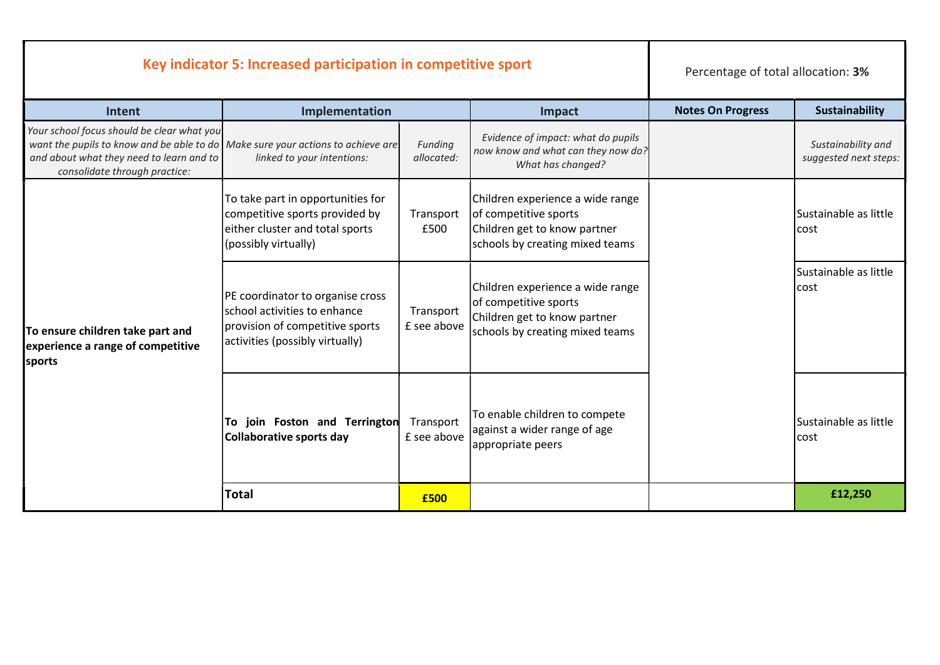| Key indicator 5: Increased participation in competitive sport                                                                                                                                              |                                                                                                                                        |                          | Percentage of total allocation: 3%                                                                                           |                          |                                             |
|------------------------------------------------------------------------------------------------------------------------------------------------------------------------------------------------------------|----------------------------------------------------------------------------------------------------------------------------------------|--------------------------|------------------------------------------------------------------------------------------------------------------------------|--------------------------|---------------------------------------------|
| Intent                                                                                                                                                                                                     | Implementation                                                                                                                         |                          |                                                                                                                              | <b>Notes On Progress</b> | <b>Sustainability</b>                       |
| Your school focus should be clear what you<br>want the pupils to know and be able to do Make sure your actions to achieve are<br>and about what they need to learn and to<br>consolidate through practice: | linked to your intentions:                                                                                                             | Funding<br>allocated:    | Evidence of impact: what do pupils<br>now know and what can they now do?<br>What has changed?                                |                          | Sustainability and<br>suggested next steps: |
| To ensure children take part and<br>experience a range of competitive<br><b>sports</b>                                                                                                                     | To take part in opportunities for<br>competitive sports provided by<br>either cluster and total sports<br>(possibly virtually)         | Transport<br>£500        | Children experience a wide range<br>of competitive sports<br>Children get to know partner<br>schools by creating mixed teams |                          | Sustainable as little<br>cost               |
|                                                                                                                                                                                                            | PE coordinator to organise cross<br>school activities to enhance<br>provision of competitive sports<br>activities (possibly virtually) | Transport<br>£ see above | Children experience a wide range<br>of competitive sports<br>Children get to know partner<br>schools by creating mixed teams |                          | Sustainable as little<br>cost               |
|                                                                                                                                                                                                            | To join Foston and Terrington<br>Collaborative sports day                                                                              | Transport<br>£ see above | To enable children to compete<br>against a wider range of age<br>appropriate peers                                           |                          | Sustainable as little<br>cost               |
|                                                                                                                                                                                                            | <b>Total</b>                                                                                                                           | £500                     |                                                                                                                              |                          | £12,250                                     |